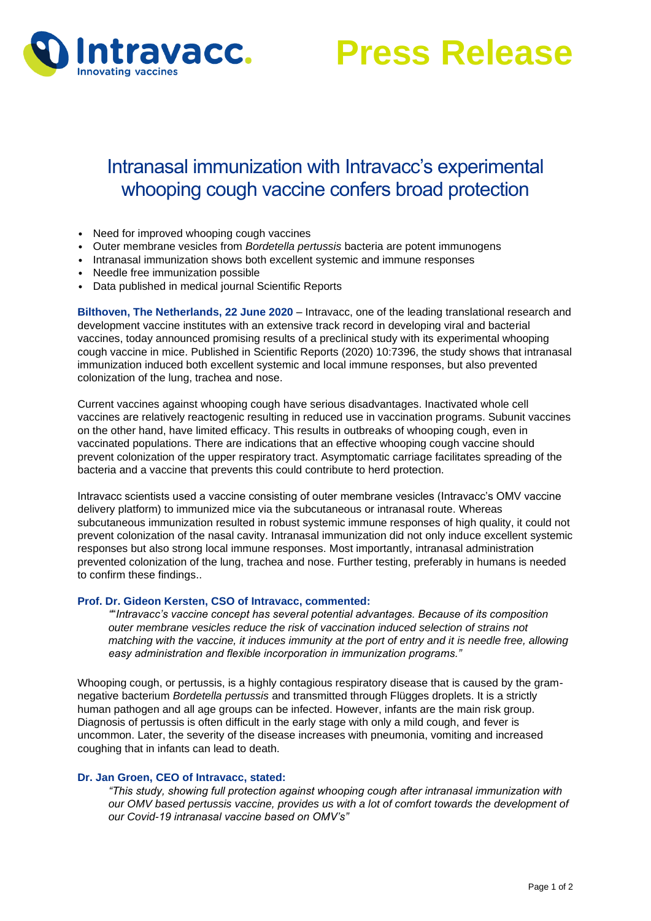

**Press Release**

# Intranasal immunization with Intravacc's experimental whooping cough vaccine confers broad protection

- Need for improved whooping cough vaccines
- Outer membrane vesicles from *Bordetella pertussis* bacteria are potent immunogens
- Intranasal immunization shows both excellent systemic and immune responses
- Needle free immunization possible
- Data published in medical journal Scientific Reports

**Bilthoven, The Netherlands, 22 June 2020** – Intravacc, one of the leading translational research and development vaccine institutes with an extensive track record in developing viral and bacterial vaccines, today announced promising results of a preclinical study with its experimental whooping cough vaccine in mice. Published in Scientific Reports (2020) 10:7396, the study shows that intranasal immunization induced both excellent systemic and local immune responses, but also prevented colonization of the lung, trachea and nose.

Current vaccines against whooping cough have serious disadvantages. Inactivated whole cell vaccines are relatively reactogenic resulting in reduced use in vaccination programs. Subunit vaccines on the other hand, have limited efficacy. This results in outbreaks of whooping cough, even in vaccinated populations. There are indications that an effective whooping cough vaccine should prevent colonization of the upper respiratory tract. Asymptomatic carriage facilitates spreading of the bacteria and a vaccine that prevents this could contribute to herd protection.

Intravacc scientists used a vaccine consisting of outer membrane vesicles (Intravacc's OMV vaccine delivery platform) to immunized mice via the subcutaneous or intranasal route. Whereas subcutaneous immunization resulted in robust systemic immune responses of high quality, it could not prevent colonization of the nasal cavity. Intranasal immunization did not only induce excellent systemic responses but also strong local immune responses. Most importantly, intranasal administration prevented colonization of the lung, trachea and nose. Further testing, preferably in humans is needed to confirm these findings..

### **Prof. Dr. Gideon Kersten, CSO of Intravacc, commented:**

*"*"*Intravacc's vaccine concept has several potential advantages. Because of its composition outer membrane vesicles reduce the risk of vaccination induced selection of strains not matching with the vaccine, it induces immunity at the port of entry and it is needle free, allowing easy administration and flexible incorporation in immunization programs."*

Whooping cough, or pertussis, is a highly contagious respiratory disease that is caused by the gramnegative bacterium *Bordetella pertussis* and transmitted through Flügges droplets. It is a strictly human pathogen and all age groups can be infected. However, infants are the main risk group. Diagnosis of pertussis is often difficult in the early stage with only a mild cough, and fever is uncommon. Later, the severity of the disease increases with pneumonia, vomiting and increased coughing that in infants can lead to death.

## **Dr. Jan Groen, CEO of Intravacc, stated:**

*"This study, showing full protection against whooping cough after intranasal immunization with our OMV based pertussis vaccine, provides us with a lot of comfort towards the development of our Covid-19 intranasal vaccine based on OMV's"*